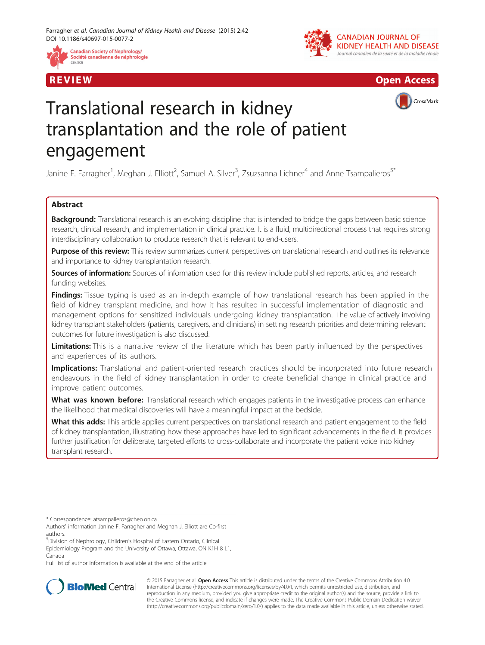





CrossMark

# Translational research in kidney transplantation and the role of patient engagement

Janine F. Farragher<sup>1</sup>, Meghan J. Elliott<sup>2</sup>, Samuel A. Silver<sup>3</sup>, Zsuzsanna Lichner<sup>4</sup> and Anne Tsampalieros<sup>5\*</sup>

# Abstract

Background: Translational research is an evolving discipline that is intended to bridge the gaps between basic science research, clinical research, and implementation in clinical practice. It is a fluid, multidirectional process that requires strong interdisciplinary collaboration to produce research that is relevant to end-users.

Purpose of this review: This review summarizes current perspectives on translational research and outlines its relevance and importance to kidney transplantation research.

Sources of information: Sources of information used for this review include published reports, articles, and research funding websites.

Findings: Tissue typing is used as an in-depth example of how translational research has been applied in the field of kidney transplant medicine, and how it has resulted in successful implementation of diagnostic and management options for sensitized individuals undergoing kidney transplantation. The value of actively involving kidney transplant stakeholders (patients, caregivers, and clinicians) in setting research priorities and determining relevant outcomes for future investigation is also discussed.

Limitations: This is a narrative review of the literature which has been partly influenced by the perspectives and experiences of its authors.

Implications: Translational and patient-oriented research practices should be incorporated into future research endeavours in the field of kidney transplantation in order to create beneficial change in clinical practice and improve patient outcomes.

What was known before: Translational research which engages patients in the investigative process can enhance the likelihood that medical discoveries will have a meaningful impact at the bedside.

What this adds: This article applies current perspectives on translational research and patient engagement to the field of kidney transplantation, illustrating how these approaches have led to significant advancements in the field. It provides further justification for deliberate, targeted efforts to cross-collaborate and incorporate the patient voice into kidney transplant research.

Full list of author information is available at the end of the article



© 2015 Farragher et al. Open Access This article is distributed under the terms of the Creative Commons Attribution 4.0 International License [\(http://creativecommons.org/licenses/by/4.0/](http://creativecommons.org/licenses/by/4.0/)), which permits unrestricted use, distribution, and reproduction in any medium, provided you give appropriate credit to the original author(s) and the source, provide a link to the Creative Commons license, and indicate if changes were made. The Creative Commons Public Domain Dedication waiver [\(http://creativecommons.org/publicdomain/zero/1.0/](http://creativecommons.org/publicdomain/zero/1.0/)) applies to the data made available in this article, unless otherwise stated.

<sup>\*</sup> Correspondence: [atsampalieros@cheo.on.ca](mailto:atsampalieros@cheo.on.ca)

Authors' information Janine F. Farragher and Meghan J. Elliott are Co-first authors.

<sup>5</sup> Division of Nephrology, Children's Hospital of Eastern Ontario, Clinical Epidemiology Program and the University of Ottawa, Ottawa, ON K1H 8 L1, Canada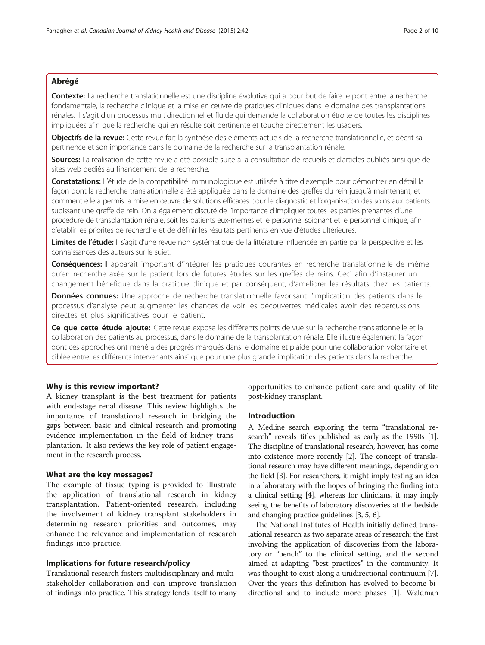## Abrégé

Contexte: La recherche translationnelle est une discipline évolutive qui a pour but de faire le pont entre la recherche fondamentale, la recherche clinique et la mise en œuvre de pratiques cliniques dans le domaine des transplantations rénales. Il s'agit d'un processus multidirectionnel et fluide qui demande la collaboration étroite de toutes les disciplines impliquées afin que la recherche qui en résulte soit pertinente et touche directement les usagers.

Objectifs de la revue: Cette revue fait la synthèse des éléments actuels de la recherche translationnelle, et décrit sa pertinence et son importance dans le domaine de la recherche sur la transplantation rénale.

Sources: La réalisation de cette revue a été possible suite à la consultation de recueils et d'articles publiés ainsi que de sites web dédiés au financement de la recherche.

Constatations: L'étude de la compatibilité immunologique est utilisée à titre d'exemple pour démontrer en détail la façon dont la recherche translationnelle a été appliquée dans le domaine des greffes du rein jusqu'à maintenant, et comment elle a permis la mise en œuvre de solutions efficaces pour le diagnostic et l'organisation des soins aux patients subissant une greffe de rein. On a également discuté de l'importance d'impliquer toutes les parties prenantes d'une procédure de transplantation rénale, soit les patients eux-mêmes et le personnel soignant et le personnel clinique, afin d'établir les priorités de recherche et de définir les résultats pertinents en vue d'études ultérieures.

Limites de l'étude: Il s'agit d'une revue non systématique de la littérature influencée en partie par la perspective et les connaissances des auteurs sur le sujet.

Conséquences: Il apparait important d'intégrer les pratiques courantes en recherche translationnelle de même qu'en recherche axée sur le patient lors de futures études sur les greffes de reins. Ceci afin d'instaurer un changement bénéfique dans la pratique clinique et par conséquent, d'améliorer les résultats chez les patients.

Données connues: Une approche de recherche translationnelle favorisant l'implication des patients dans le processus d'analyse peut augmenter les chances de voir les découvertes médicales avoir des répercussions directes et plus significatives pour le patient.

Ce que cette étude ajoute: Cette revue expose les différents points de vue sur la recherche translationnelle et la collaboration des patients au processus, dans le domaine de la transplantation rénale. Elle illustre également la façon dont ces approches ont mené à des progrès marqués dans le domaine et plaide pour une collaboration volontaire et ciblée entre les différents intervenants ainsi que pour une plus grande implication des patients dans la recherche.

## Why is this review important?

A kidney transplant is the best treatment for patients with end-stage renal disease. This review highlights the importance of translational research in bridging the gaps between basic and clinical research and promoting evidence implementation in the field of kidney transplantation. It also reviews the key role of patient engagement in the research process.

## What are the key messages?

The example of tissue typing is provided to illustrate the application of translational research in kidney transplantation. Patient-oriented research, including the involvement of kidney transplant stakeholders in determining research priorities and outcomes, may enhance the relevance and implementation of research findings into practice.

## Implications for future research/policy

Translational research fosters multidisciplinary and multistakeholder collaboration and can improve translation of findings into practice. This strategy lends itself to many

opportunities to enhance patient care and quality of life post-kidney transplant.

# Introduction

A Medline search exploring the term "translational research" reveals titles published as early as the 1990s [[1](#page-7-0)]. The discipline of translational research, however, has come into existence more recently [\[2\]](#page-7-0). The concept of translational research may have different meanings, depending on the field [\[3\]](#page-7-0). For researchers, it might imply testing an idea in a laboratory with the hopes of bringing the finding into a clinical setting [\[4\]](#page-7-0), whereas for clinicians, it may imply seeing the benefits of laboratory discoveries at the bedside and changing practice guidelines [\[3, 5](#page-7-0), [6\]](#page-7-0).

The National Institutes of Health initially defined translational research as two separate areas of research: the first involving the application of discoveries from the laboratory or "bench" to the clinical setting, and the second aimed at adapting "best practices" in the community. It was thought to exist along a unidirectional continuum [[7](#page-7-0)]. Over the years this definition has evolved to become bidirectional and to include more phases [\[1](#page-7-0)]. Waldman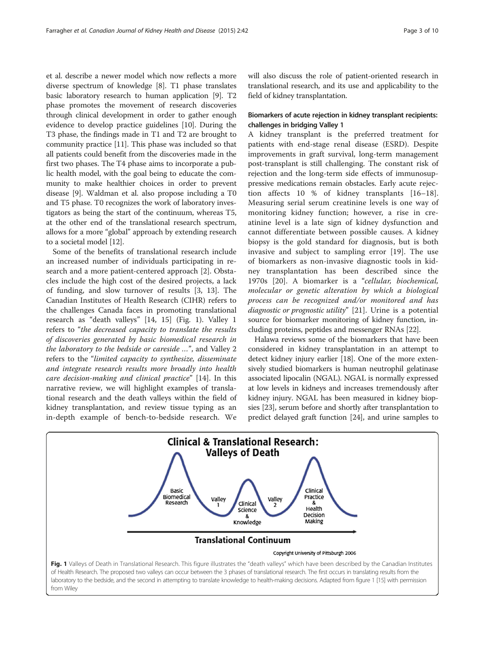et al. describe a newer model which now reflects a more diverse spectrum of knowledge [[8](#page-7-0)]. T1 phase translates basic laboratory research to human application [\[9](#page-7-0)]. T2 phase promotes the movement of research discoveries through clinical development in order to gather enough evidence to develop practice guidelines [\[10\]](#page-7-0). During the T3 phase, the findings made in T1 and T2 are brought to community practice [\[11\]](#page-7-0). This phase was included so that all patients could benefit from the discoveries made in the first two phases. The T4 phase aims to incorporate a public health model, with the goal being to educate the community to make healthier choices in order to prevent disease [[9\]](#page-7-0). Waldman et al. also propose including a T0 and T5 phase. T0 recognizes the work of laboratory investigators as being the start of the continuum, whereas T5, at the other end of the translational research spectrum, allows for a more "global" approach by extending research to a societal model [[12](#page-7-0)].

Some of the benefits of translational research include an increased number of individuals participating in research and a more patient-centered approach [[2](#page-7-0)]. Obstacles include the high cost of the desired projects, a lack of funding, and slow turnover of results [[3, 13\]](#page-7-0). The Canadian Institutes of Health Research (CIHR) refers to the challenges Canada faces in promoting translational research as "death valleys" [[14](#page-7-0), [15\]](#page-7-0) (Fig. 1). Valley 1 refers to "the decreased capacity to translate the results of discoveries generated by basic biomedical research in the laboratory to the bedside or careside …", and Valley 2 refers to the "limited capacity to synthesize, disseminate and integrate research results more broadly into health care decision-making and clinical practice" [[14\]](#page-7-0). In this narrative review, we will highlight examples of translational research and the death valleys within the field of kidney transplantation, and review tissue typing as an in-depth example of bench-to-bedside research. We will also discuss the role of patient-oriented research in translational research, and its use and applicability to the field of kidney transplantation.

## Biomarkers of acute rejection in kidney transplant recipients: challenges in bridging Valley 1

A kidney transplant is the preferred treatment for patients with end-stage renal disease (ESRD). Despite improvements in graft survival, long-term management post-transplant is still challenging. The constant risk of rejection and the long-term side effects of immunosuppressive medications remain obstacles. Early acute rejection affects 10 % of kidney transplants [\[16](#page-7-0)–[18](#page-7-0)]. Measuring serial serum creatinine levels is one way of monitoring kidney function; however, a rise in creatinine level is a late sign of kidney dysfunction and cannot differentiate between possible causes. A kidney biopsy is the gold standard for diagnosis, but is both invasive and subject to sampling error [[19\]](#page-7-0). The use of biomarkers as non-invasive diagnostic tools in kidney transplantation has been described since the 1970s [[20\]](#page-7-0). A biomarker is a "cellular, biochemical, molecular or genetic alteration by which a biological process can be recognized and/or monitored and has diagnostic or prognostic utility" [[21](#page-7-0)]. Urine is a potential source for biomarker monitoring of kidney function, including proteins, peptides and messenger RNAs [\[22\]](#page-7-0).

Halawa reviews some of the biomarkers that have been considered in kidney transplantation in an attempt to detect kidney injury earlier [\[18](#page-7-0)]. One of the more extensively studied biomarkers is human neutrophil gelatinase associated lipocalin (NGAL). NGAL is normally expressed at low levels in kidneys and increases tremendously after kidney injury. NGAL has been measured in kidney biopsies [[23](#page-8-0)], serum before and shortly after transplantation to predict delayed graft function [\[24\]](#page-8-0), and urine samples to

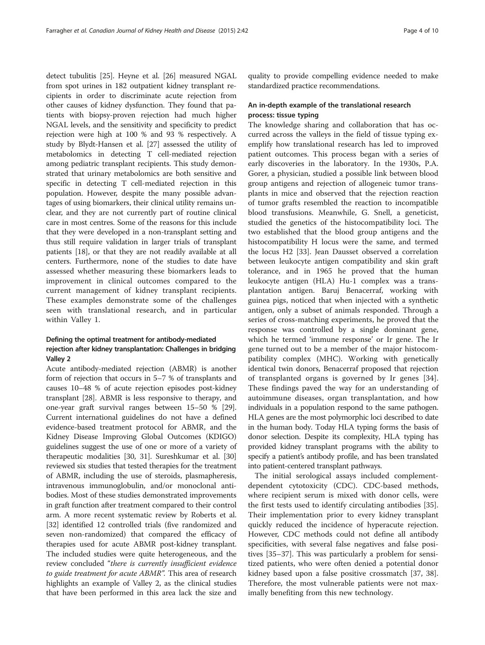detect tubulitis [[25](#page-8-0)]. Heyne et al. [\[26\]](#page-8-0) measured NGAL from spot urines in 182 outpatient kidney transplant recipients in order to discriminate acute rejection from other causes of kidney dysfunction. They found that patients with biopsy-proven rejection had much higher NGAL levels, and the sensitivity and specificity to predict rejection were high at 100 % and 93 % respectively. A study by Blydt-Hansen et al. [\[27](#page-8-0)] assessed the utility of metabolomics in detecting T cell-mediated rejection among pediatric transplant recipients. This study demonstrated that urinary metabolomics are both sensitive and specific in detecting T cell-mediated rejection in this population. However, despite the many possible advantages of using biomarkers, their clinical utility remains unclear, and they are not currently part of routine clinical care in most centres. Some of the reasons for this include that they were developed in a non-transplant setting and thus still require validation in larger trials of transplant patients [\[18\]](#page-7-0), or that they are not readily available at all centers. Furthermore, none of the studies to date have assessed whether measuring these biomarkers leads to improvement in clinical outcomes compared to the current management of kidney transplant recipients. These examples demonstrate some of the challenges seen with translational research, and in particular within Valley 1.

# Defining the optimal treatment for antibody-mediated rejection after kidney transplantation: Challenges in bridging Valley 2

Acute antibody-mediated rejection (ABMR) is another form of rejection that occurs in 5–7 % of transplants and causes 10–48 % of acute rejection episodes post-kidney transplant [\[28\]](#page-8-0). ABMR is less responsive to therapy, and one-year graft survival ranges between 15–50 % [[29](#page-8-0)]. Current international guidelines do not have a defined evidence-based treatment protocol for ABMR, and the Kidney Disease Improving Global Outcomes (KDIGO) guidelines suggest the use of one or more of a variety of therapeutic modalities [\[30, 31](#page-8-0)]. Sureshkumar et al. [[30](#page-8-0)] reviewed six studies that tested therapies for the treatment of ABMR, including the use of steroids, plasmapheresis, intravenous immunoglobulin, and/or monoclonal antibodies. Most of these studies demonstrated improvements in graft function after treatment compared to their control arm. A more recent systematic review by Roberts et al. [[32](#page-8-0)] identified 12 controlled trials (five randomized and seven non-randomized) that compared the efficacy of therapies used for acute ABMR post-kidney transplant. The included studies were quite heterogeneous, and the review concluded "there is currently insufficient evidence to guide treatment for acute ABMR". This area of research highlights an example of Valley 2, as the clinical studies that have been performed in this area lack the size and

quality to provide compelling evidence needed to make standardized practice recommendations.

# An in-depth example of the translational research process: tissue typing

The knowledge sharing and collaboration that has occurred across the valleys in the field of tissue typing exemplify how translational research has led to improved patient outcomes. This process began with a series of early discoveries in the laboratory. In the 1930s, P.A. Gorer, a physician, studied a possible link between blood group antigens and rejection of allogeneic tumor transplants in mice and observed that the rejection reaction of tumor grafts resembled the reaction to incompatible blood transfusions. Meanwhile, G. Snell, a geneticist, studied the genetics of the histocompatibility loci. The two established that the blood group antigens and the histocompatibility H locus were the same, and termed the locus H2 [\[33](#page-8-0)]. Jean Dausset observed a correlation between leukocyte antigen compatibility and skin graft tolerance, and in 1965 he proved that the human leukocyte antigen (HLA) Hu-1 complex was a transplantation antigen. Baruj Benacerraf, working with guinea pigs, noticed that when injected with a synthetic antigen, only a subset of animals responded. Through a series of cross-matching experiments, he proved that the response was controlled by a single dominant gene, which he termed 'immune response' or Ir gene. The Ir gene turned out to be a member of the major histocompatibility complex (MHC). Working with genetically identical twin donors, Benacerraf proposed that rejection of transplanted organs is governed by Ir genes [\[34](#page-8-0)]. These findings paved the way for an understanding of autoimmune diseases, organ transplantation, and how individuals in a population respond to the same pathogen. HLA genes are the most polymorphic loci described to date in the human body. Today HLA typing forms the basis of donor selection. Despite its complexity, HLA typing has provided kidney transplant programs with the ability to specify a patient's antibody profile, and has been translated into patient-centered transplant pathways.

The initial serological assays included complementdependent cytotoxicity (CDC). CDC-based methods, where recipient serum is mixed with donor cells, were the first tests used to identify circulating antibodies [\[35](#page-8-0)]. Their implementation prior to every kidney transplant quickly reduced the incidence of hyperacute rejection. However, CDC methods could not define all antibody specificities, with several false negatives and false positives [[35](#page-8-0)–[37](#page-8-0)]. This was particularly a problem for sensitized patients, who were often denied a potential donor kidney based upon a false positive crossmatch [\[37](#page-8-0), [38](#page-8-0)]. Therefore, the most vulnerable patients were not maximally benefiting from this new technology.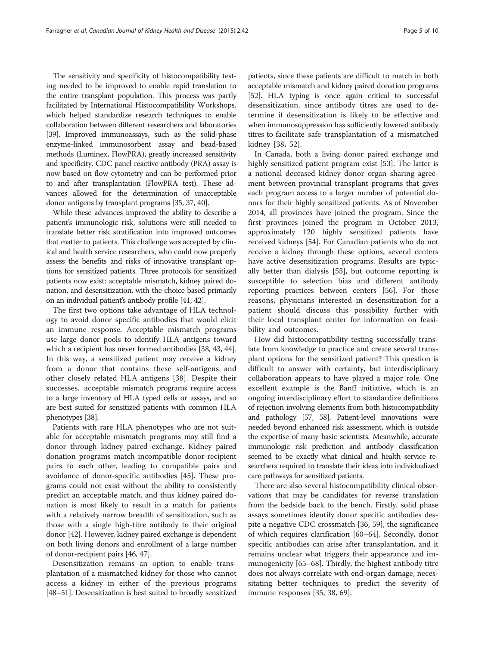The sensitivity and specificity of histocompatibility testing needed to be improved to enable rapid translation to the entire transplant population. This process was partly facilitated by International Histocompatibility Workshops, which helped standardize research techniques to enable collaboration between different researchers and laboratories [[39](#page-8-0)]. Improved immunoassays, such as the solid-phase enzyme-linked immunosorbent assay and bead-based methods (Luminex, FlowPRA), greatly increased sensitivity and specificity. CDC panel reactive antibody (PRA) assay is now based on flow cytometry and can be performed prior to and after transplantation (FlowPRA test). These advances allowed for the determination of unacceptable donor antigens by transplant programs [[35, 37, 40\]](#page-8-0).

While these advances improved the ability to describe a patient's immunologic risk, solutions were still needed to translate better risk stratification into improved outcomes that matter to patients. This challenge was accepted by clinical and health service researchers, who could now properly assess the benefits and risks of innovative transplant options for sensitized patients. Three protocols for sensitized patients now exist: acceptable mismatch, kidney paired donation, and desensitization, with the choice based primarily on an individual patient's antibody profile [\[41, 42\]](#page-8-0).

The first two options take advantage of HLA technology to avoid donor specific antibodies that would elicit an immune response. Acceptable mismatch programs use large donor pools to identify HLA antigens toward which a recipient has never formed antibodies [[38, 43, 44](#page-8-0)]. In this way, a sensitized patient may receive a kidney from a donor that contains these self-antigens and other closely related HLA antigens [\[38](#page-8-0)]. Despite their successes, acceptable mismatch programs require access to a large inventory of HLA typed cells or assays, and so are best suited for sensitized patients with common HLA phenotypes [\[38](#page-8-0)].

Patients with rare HLA phenotypes who are not suitable for acceptable mismatch programs may still find a donor through kidney paired exchange. Kidney paired donation programs match incompatible donor-recipient pairs to each other, leading to compatible pairs and avoidance of donor-specific antibodies [[45\]](#page-8-0). These programs could not exist without the ability to consistently predict an acceptable match, and thus kidney paired donation is most likely to result in a match for patients with a relatively narrow breadth of sensitization, such as those with a single high-titre antibody to their original donor [\[42](#page-8-0)]. However, kidney paired exchange is dependent on both living donors and enrollment of a large number of donor-recipient pairs [\[46, 47](#page-8-0)].

Desensitization remains an option to enable transplantation of a mismatched kidney for those who cannot access a kidney in either of the previous programs [[48](#page-8-0)–[51\]](#page-8-0). Desensitization is best suited to broadly sensitized

patients, since these patients are difficult to match in both acceptable mismatch and kidney paired donation programs [[52](#page-8-0)]. HLA typing is once again critical to successful desensitization, since antibody titres are used to determine if desensitization is likely to be effective and when immunosuppression has sufficiently lowered antibody titres to facilitate safe transplantation of a mismatched kidney [\[38](#page-8-0), [52](#page-8-0)].

In Canada, both a living donor paired exchange and highly sensitized patient program exist [\[53\]](#page-8-0). The latter is a national deceased kidney donor organ sharing agreement between provincial transplant programs that gives each program access to a larger number of potential donors for their highly sensitized patients. As of November 2014, all provinces have joined the program. Since the first provinces joined the program in October 2013, approximately 120 highly sensitized patients have received kidneys [[54](#page-8-0)]. For Canadian patients who do not receive a kidney through these options, several centers have active desensitization programs. Results are typically better than dialysis [[55](#page-8-0)], but outcome reporting is susceptible to selection bias and different antibody reporting practices between centers [[56\]](#page-8-0). For these reasons, physicians interested in desensitization for a patient should discuss this possibility further with their local transplant center for information on feasibility and outcomes.

How did histocompatibility testing successfully translate from knowledge to practice and create several transplant options for the sensitized patient? This question is difficult to answer with certainty, but interdisciplinary collaboration appears to have played a major role. One excellent example is the Banff initiative, which is an ongoing interdisciplinary effort to standardize definitions of rejection involving elements from both histocompatibility and pathology [\[57](#page-8-0), [58\]](#page-8-0). Patient-level innovations were needed beyond enhanced risk assessment, which is outside the expertise of many basic scientists. Meanwhile, accurate immunologic risk prediction and antibody classification seemed to be exactly what clinical and health service researchers required to translate their ideas into individualized care pathways for sensitized patients.

There are also several histocompatibility clinical observations that may be candidates for reverse translation from the bedside back to the bench. Firstly, solid phase assays sometimes identify donor specific antibodies despite a negative CDC crossmatch [\[36](#page-8-0), [59](#page-8-0)], the significance of which requires clarification [[60](#page-8-0)–[64](#page-8-0)]. Secondly, donor specific antibodies can arise after transplantation, and it remains unclear what triggers their appearance and immunogenicity [\[65](#page-8-0)–[68\]](#page-9-0). Thirdly, the highest antibody titre does not always correlate with end-organ damage, necessitating better techniques to predict the severity of immune responses [\[35](#page-8-0), [38](#page-8-0), [69](#page-9-0)].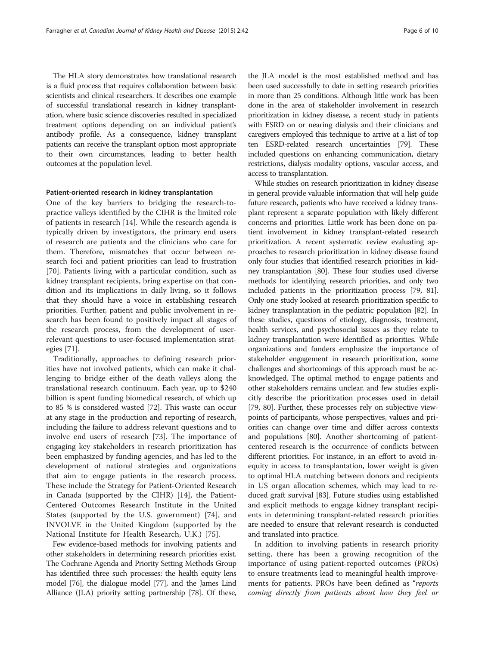The HLA story demonstrates how translational research is a fluid process that requires collaboration between basic scientists and clinical researchers. It describes one example of successful translational research in kidney transplantation, where basic science discoveries resulted in specialized treatment options depending on an individual patient's antibody profile. As a consequence, kidney transplant patients can receive the transplant option most appropriate to their own circumstances, leading to better health outcomes at the population level.

### Patient-oriented research in kidney transplantation

One of the key barriers to bridging the research-topractice valleys identified by the CIHR is the limited role of patients in research [[14\]](#page-7-0). While the research agenda is typically driven by investigators, the primary end users of research are patients and the clinicians who care for them. Therefore, mismatches that occur between research foci and patient priorities can lead to frustration [[70\]](#page-9-0). Patients living with a particular condition, such as kidney transplant recipients, bring expertise on that condition and its implications in daily living, so it follows that they should have a voice in establishing research priorities. Further, patient and public involvement in research has been found to positively impact all stages of the research process, from the development of userrelevant questions to user-focused implementation strategies [[71](#page-9-0)].

Traditionally, approaches to defining research priorities have not involved patients, which can make it challenging to bridge either of the death valleys along the translational research continuum. Each year, up to \$240 billion is spent funding biomedical research, of which up to 85 % is considered wasted [[72\]](#page-9-0). This waste can occur at any stage in the production and reporting of research, including the failure to address relevant questions and to involve end users of research [[73](#page-9-0)]. The importance of engaging key stakeholders in research prioritization has been emphasized by funding agencies, and has led to the development of national strategies and organizations that aim to engage patients in the research process. These include the Strategy for Patient-Oriented Research in Canada (supported by the CIHR) [[14\]](#page-7-0), the Patient-Centered Outcomes Research Institute in the United States (supported by the U.S. government) [\[74](#page-9-0)], and INVOLVE in the United Kingdom (supported by the National Institute for Health Research, U.K.) [\[75](#page-9-0)].

Few evidence-based methods for involving patients and other stakeholders in determining research priorities exist. The Cochrane Agenda and Priority Setting Methods Group has identified three such processes: the health equity lens model [\[76\]](#page-9-0), the dialogue model [[77](#page-9-0)], and the James Lind Alliance (JLA) priority setting partnership [\[78](#page-9-0)]. Of these,

the JLA model is the most established method and has been used successfully to date in setting research priorities in more than 25 conditions. Although little work has been done in the area of stakeholder involvement in research prioritization in kidney disease, a recent study in patients with ESRD on or nearing dialysis and their clinicians and caregivers employed this technique to arrive at a list of top ten ESRD-related research uncertainties [[79](#page-9-0)]. These included questions on enhancing communication, dietary restrictions, dialysis modality options, vascular access, and access to transplantation.

While studies on research prioritization in kidney disease in general provide valuable information that will help guide future research, patients who have received a kidney transplant represent a separate population with likely different concerns and priorities. Little work has been done on patient involvement in kidney transplant-related research prioritization. A recent systematic review evaluating approaches to research prioritization in kidney disease found only four studies that identified research priorities in kidney transplantation [[80](#page-9-0)]. These four studies used diverse methods for identifying research priorities, and only two included patients in the prioritization process [\[79](#page-9-0), [81](#page-9-0)]. Only one study looked at research prioritization specific to kidney transplantation in the pediatric population [\[82](#page-9-0)]. In these studies, questions of etiology, diagnosis, treatment, health services, and psychosocial issues as they relate to kidney transplantation were identified as priorities. While organizations and funders emphasize the importance of stakeholder engagement in research prioritization, some challenges and shortcomings of this approach must be acknowledged. The optimal method to engage patients and other stakeholders remains unclear, and few studies explicitly describe the prioritization processes used in detail [[79](#page-9-0), [80\]](#page-9-0). Further, these processes rely on subjective viewpoints of participants, whose perspectives, values and priorities can change over time and differ across contexts and populations [\[80\]](#page-9-0). Another shortcoming of patientcentered research is the occurrence of conflicts between different priorities. For instance, in an effort to avoid inequity in access to transplantation, lower weight is given to optimal HLA matching between donors and recipients in US organ allocation schemes, which may lead to reduced graft survival [\[83\]](#page-9-0). Future studies using established and explicit methods to engage kidney transplant recipients in determining transplant-related research priorities are needed to ensure that relevant research is conducted and translated into practice.

In addition to involving patients in research priority setting, there has been a growing recognition of the importance of using patient-reported outcomes (PROs) to ensure treatments lead to meaningful health improvements for patients. PROs have been defined as "reports coming directly from patients about how they feel or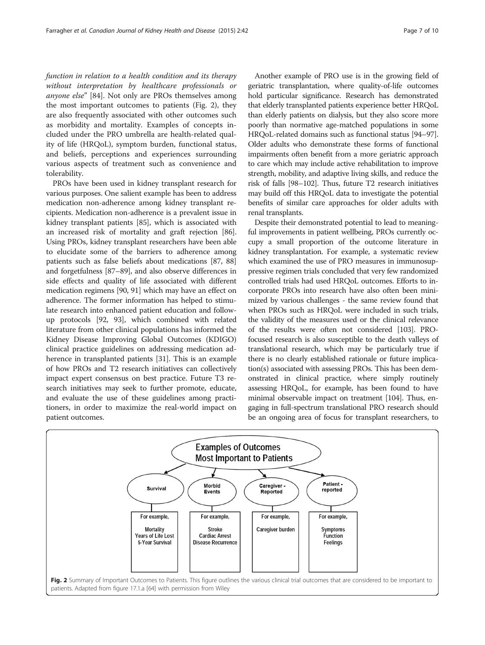function in relation to a health condition and its therapy without interpretation by healthcare professionals or anyone else" [[84](#page-9-0)]. Not only are PROs themselves among the most important outcomes to patients (Fig. 2), they are also frequently associated with other outcomes such as morbidity and mortality. Examples of concepts included under the PRO umbrella are health-related quality of life (HRQoL), symptom burden, functional status, and beliefs, perceptions and experiences surrounding various aspects of treatment such as convenience and tolerability.

PROs have been used in kidney transplant research for various purposes. One salient example has been to address medication non-adherence among kidney transplant recipients. Medication non-adherence is a prevalent issue in kidney transplant patients [[85](#page-9-0)], which is associated with an increased risk of mortality and graft rejection [[86](#page-9-0)]. Using PROs, kidney transplant researchers have been able to elucidate some of the barriers to adherence among patients such as false beliefs about medications [[87](#page-9-0), [88](#page-9-0)] and forgetfulness [\[87](#page-9-0)–[89](#page-9-0)], and also observe differences in side effects and quality of life associated with different medication regimens [\[90, 91](#page-9-0)] which may have an effect on adherence. The former information has helped to stimulate research into enhanced patient education and followup protocols [\[92, 93](#page-9-0)], which combined with related literature from other clinical populations has informed the Kidney Disease Improving Global Outcomes (KDIGO) clinical practice guidelines on addressing medication adherence in transplanted patients [[31](#page-8-0)]. This is an example of how PROs and T2 research initiatives can collectively impact expert consensus on best practice. Future T3 research initiatives may seek to further promote, educate, and evaluate the use of these guidelines among practitioners, in order to maximize the real-world impact on patient outcomes.

Another example of PRO use is in the growing field of geriatric transplantation, where quality-of-life outcomes hold particular significance. Research has demonstrated that elderly transplanted patients experience better HRQoL than elderly patients on dialysis, but they also score more poorly than normative age-matched populations in some HRQoL-related domains such as functional status [[94](#page-9-0)–[97](#page-9-0)]. Older adults who demonstrate these forms of functional impairments often benefit from a more geriatric approach to care which may include active rehabilitation to improve strength, mobility, and adaptive living skills, and reduce the risk of falls [\[98](#page-9-0)–[102\]](#page-9-0). Thus, future T2 research initiatives may build off this HRQoL data to investigate the potential benefits of similar care approaches for older adults with renal transplants.

Despite their demonstrated potential to lead to meaningful improvements in patient wellbeing, PROs currently occupy a small proportion of the outcome literature in kidney transplantation. For example, a systematic review which examined the use of PRO measures in immunosuppressive regimen trials concluded that very few randomized controlled trials had used HRQoL outcomes. Efforts to incorporate PROs into research have also often been minimized by various challenges - the same review found that when PROs such as HRQoL were included in such trials, the validity of the measures used or the clinical relevance of the results were often not considered [\[103](#page-9-0)]. PROfocused research is also susceptible to the death valleys of translational research, which may be particularly true if there is no clearly established rationale or future implication(s) associated with assessing PROs. This has been demonstrated in clinical practice, where simply routinely assessing HRQoL, for example, has been found to have minimal observable impact on treatment [\[104\]](#page-9-0). Thus, engaging in full-spectrum translational PRO research should be an ongoing area of focus for transplant researchers, to

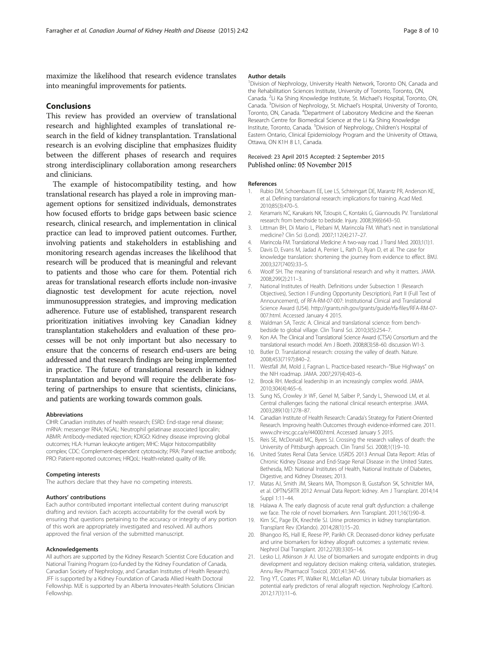<span id="page-7-0"></span>maximize the likelihood that research evidence translates into meaningful improvements for patients.

## Conclusions

This review has provided an overview of translational research and highlighted examples of translational research in the field of kidney transplantation. Translational research is an evolving discipline that emphasizes fluidity between the different phases of research and requires strong interdisciplinary collaboration among researchers and clinicians.

The example of histocompatibility testing, and how translational research has played a role in improving management options for sensitized individuals, demonstrates how focused efforts to bridge gaps between basic science research, clinical research, and implementation in clinical practice can lead to improved patient outcomes. Further, involving patients and stakeholders in establishing and monitoring research agendas increases the likelihood that research will be produced that is meaningful and relevant to patients and those who care for them. Potential rich areas for translational research efforts include non-invasive diagnostic test development for acute rejection, novel immunosuppression strategies, and improving medication adherence. Future use of established, transparent research prioritization initiatives involving key Canadian kidney transplantation stakeholders and evaluation of these processes will be not only important but also necessary to ensure that the concerns of research end-users are being addressed and that research findings are being implemented in practice. The future of translational research in kidney transplantation and beyond will require the deliberate fostering of partnerships to ensure that scientists, clinicians, and patients are working towards common goals.

#### Abbreviations

CIHR: Canadian institutes of health research; ESRD: End-stage renal disease; mRNA: messenger RNA; NGAL: Neutrophil gelatinase associated lipocalin; ABMR: Antibody-mediated rejection; KDIGO: Kidney disease improving global outcomes; HLA: Human leukocyte antigen; MHC: Major histocompatibility complex; CDC: Complement-dependent cytotoxicity; PRA: Panel reactive antibody; PRO: Patient-reported outcomes; HRQoL: Health-related quality of life.

#### Competing interests

The authors declare that they have no competing interests.

#### Authors' contributions

Each author contributed important intellectual content during manuscript drafting and revision. Each accepts accountability for the overall work by ensuring that questions pertaining to the accuracy or integrity of any portion of this work are appropriately investigated and resolved. All authors approved the final version of the submitted manuscript.

#### Acknowledgements

All authors are supported by the Kidney Research Scientist Core Education and National Training Program (co-funded by the Kidney Foundation of Canada, Canadian Society of Nephrology, and Canadian Institutes of Health Research). JFF is supported by a Kidney Foundation of Canada Allied Health Doctoral Fellowship. MJE is supported by an Alberta Innovates-Health Solutions Clinician Fellowship.

#### Author details

<sup>1</sup> Division of Nephrology, University Health Network, Toronto ON, Canada and the Rehabilitation Sciences Institute, University of Toronto, Toronto, ON, Canada. <sup>2</sup>Li Ka Shing Knowledge Institute, St. Michael's Hospital, Toronto, ON, Canada. <sup>3</sup> Division of Nephrology, St. Michael's Hospital, University of Toronto Toronto, ON, Canada. <sup>4</sup>Department of Laboratory Medicine and the Keenan Research Centre for Biomedical Science at the Li Ka Shing Knowledge Institute, Toronto, Canada. <sup>5</sup> Division of Nephrology, Children's Hospital of Eastern Ontario, Clinical Epidemiology Program and the University of Ottawa, Ottawa, ON K1H 8 L1, Canada.

#### Received: 23 April 2015 Accepted: 2 September 2015 Published online: 05 November 2015

#### References

- 1. Rubio DM, Schoenbaum EE, Lee LS, Schteingart DE, Marantz PR, Anderson KE, et al. Defining translational research: implications for training. Acad Med. 2010;85(3):470–5.
- 2. Keramaris NC, Kanakaris NK, Tzioupis C, Kontakis G, Giannoudis PV. Translational research: from benchside to bedside. Injury. 2008;39(6):643–50.
- 3. Littman BH, Di Mario L, Plebani M, Marincola FM. What's next in translational medicine? Clin Sci (Lond). 2007;112(4):217–27.
- 4. Marincola FM. Translational Medicine: A two-way road. J Transl Med. 2003;1(1):1.
- 5. Davis D, Evans M, Jadad A, Perrier L, Rath D, Ryan D, et al. The case for knowledge translation: shortening the journey from evidence to effect. BMJ. 2003;327(7405):33–5.
- 6. Woolf SH. The meaning of translational research and why it matters. JAMA. 2008;299(2):211–3.
- 7. National Institutes of Health. Definitions under Subsection 1 (Research Objectives), Section I (Funding Opportunity Description), Part II (Full Text of Announcement), of RFA-RM-07-007: Institutional Clinical and Translational Science Award (U54). [http://grants.nih.gov/grants/guide/rfa-files/RFA-RM-07-](http://grants.nih.gov/grants/guide/rfa-files/RFA-RM-07-007.html) [007.html](http://grants.nih.gov/grants/guide/rfa-files/RFA-RM-07-007.html). Accessed January 4 2015.
- 8. Waldman SA, Terzic A. Clinical and translational science: from benchbedside to global village. Clin Transl Sci. 2010;3(5):254–7.
- 9. Kon AA. The Clinical and Translational Science Award (CTSA) Consortium and the translational research model. Am J Bioeth. 2008;8(3):58–60. discussion W1-3.
- 10. Butler D. Translational research: crossing the valley of death. Nature. 2008;453(7197):840–2.
- 11. Westfall JM, Mold J, Fagnan L. Practice-based research–"Blue Highways" on the NIH roadmap. JAMA. 2007;297(4):403–6.
- 12. Brook RH. Medical leadership in an increasingly complex world. JAMA. 2010;304(4):465–6.
- 13. Sung NS, Crowley Jr WF, Genel M, Salber P, Sandy L, Sherwood LM, et al. Central challenges facing the national clinical research enterprise. JAMA. 2003;289(10):1278–87.
- 14. Canadian Institute of Health Research: Canada's Strategy for Patient-Oriented Research. Improving health Outcomes through evidence-informed care. 2011. [www.cihr-irsc.gc.ca/e/44000.html.](http://www.cihr-irsc.gc.ca/e/44000.html) Accessed January 5 2015.
- 15. Reis SE, McDonald MC, Byers SJ. Crossing the research valleys of death: the University of Pittsburgh approach. Clin Transl Sci. 2008;1(1):9–10.
- 16. United States Renal Data Service. USRDS 2013 Annual Data Report: Atlas of Chronic Kidney Disease and End-Stage Renal Disease in the United States. Bethesda, MD: National Institutes of Health, National Institute of Diabetes, Digestive, and Kidney Diseases; 2013.
- 17. Matas AJ, Smith JM, Skeans MA, Thompson B, Gustafson SK, Schnitzler MA, et al. OPTN/SRTR 2012 Annual Data Report: kidney. Am J Transplant. 2014;14 Suppl 1:11–44.
- 18. Halawa A. The early diagnosis of acute renal graft dysfunction: a challenge we face. The role of novel biomarkers. Ann Transplant. 2011;16(1):90–8.
- 19. Kim SC, Page EK, Knechtle SJ. Urine proteomics in kidney transplantation. Transplant Rev (Orlando). 2014;28(1):15–20.
- 20. Bhangoo RS, Hall IE, Reese PP, Parikh CR. Deceased-donor kidney perfusate and urine biomarkers for kidney allograft outcomes: a systematic review. Nephrol Dial Transplant. 2012;27(8):3305–14.
- 21. Lesko LJ, Atkinson Jr AJ. Use of biomarkers and surrogate endpoints in drug development and regulatory decision making: criteria, validation, strategies. Annu Rev Pharmacol Toxicol. 2001;41:347–66.
- 22. Ting YT, Coates PT, Walker RJ, McLellan AD. Urinary tubular biomarkers as potential early predictors of renal allograft rejection. Nephrology (Carlton). 2012;17(1):11–6.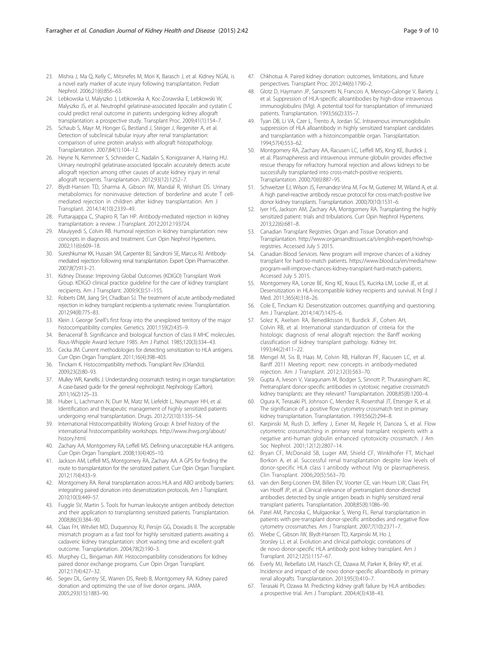- <span id="page-8-0"></span>24. Lebkowska U, Malyszko J, Lebkowska A, Koc-Zorawska E, Lebkowski W, Malyszko JS, et al. Neutrophil gelatinase-associated lipocalin and cystatin C could predict renal outcome in patients undergoing kidney allograft transplantation: a prospective study. Transplant Proc. 2009;41(1):154–7.
- 25. Schaub S, Mayr M, Honger G, Bestland J, Steiger J, Regeniter A, et al. Detection of subclinical tubular injury after renal transplantation: comparison of urine protein analysis with allograft histopathology. Transplantation. 2007;84(1):104–12.
- 26. Heyne N, Kemmner S, Schneider C, Nadalin S, Konigsrainer A, Haring HU. Urinary neutrophil gelatinase-associated lipocalin accurately detects acute allograft rejection among other causes of acute kidney injury in renal allograft recipients. Transplantation. 2012;93(12):1252–7.
- 27. Blydt-Hansen TD, Sharma A, Gibson IW, Mandal R, Wishart DS. Urinary metabolomics for noninvasive detection of borderline and acute T cellmediated rejection in children after kidney transplantation. Am J Transplant. 2014;14(10):2339–49.
- 28. Puttarajappa C, Shapiro R, Tan HP. Antibody-mediated rejection in kidney transplantation: a review. J Transplant. 2012;2012:193724.
- 29. Mauiyyedi S, Colvin RB. Humoral rejection in kidney transplantation: new concepts in diagnosis and treatment. Curr Opin Nephrol Hypertens. 2002;11(6):609–18.
- 30. Sureshkumar KK, Hussain SM, Carpenter BJ, Sandroni SE, Marcus RJ. Antibodymediated rejection following renal transplantation. Expert Opin Pharmacother. 2007;8(7):913–21.
- 31. Kidney Disease: Improving Global Outcomes (KDIGO) Transplant Work Group. KDIGO clinical practice guideline for the care of kidney transplant recipients. Am J Transplant. 2009;9(3):S1–155.
- 32. Roberts DM, Jiang SH, Chadban SJ. The treatment of acute antibody-mediated rejection in kidney transplant recipients-a systematic review. Transplantation. 2012;94(8):775–83.
- 33. Klein J. George Snell's first foray into the unexplored territory of the major histocompatibility complex. Genetics. 2001;159(2):435–9.
- 34. Benacerraf B. Significance and biological function of class II MHC molecules. Rous-Whipple Award lecture 1985. Am J Pathol. 1985;120(3):334–43.
- 35. Cecka JM. Current methodologies for detecting sensitization to HLA antigens. Curr Opin Organ Transplant. 2011;16(4):398–403.
- 36. Tinckam K. Histocompatibility methods. Transplant Rev (Orlando). 2009;23(2):80–93.
- 37. Mulley WR, Kanellis J. Understanding crossmatch testing in organ transplantation: A case-based guide for the general nephrologist. Nephrology (Carlton). 2011;16(2):125–33.
- 38. Huber L, Lachmann N, Durr M, Matz M, Liefeldt L, Neumayer HH, et al. Identification and therapeutic management of highly sensitized patients undergoing renal transplantation. Drugs. 2012;72(10):1335–54.
- 39. International Histocompatibility Working Group: A brief history of the international histocompatibility workshops. [http://www.ihwg.org/about/](http://www.ihwg.org/about/history.html) [history.html](http://www.ihwg.org/about/history.html).
- 40. Zachary AA, Montgomery RA, Leffell MS. Defining unacceptable HLA antigens. Curr Opin Organ Transplant. 2008;13(4):405–10.
- 41. Jackson AM, Leffell MS, Montgomery RA, Zachary AA. A GPS for finding the route to transplantation for the sensitized patient. Curr Opin Organ Transplant. 2012;17(4):433–9.
- 42. Montgomery RA. Renal transplantation across HLA and ABO antibody barriers: integrating paired donation into desensitization protocols. Am J Transplant. 2010;10(3):449–57.
- 43. Fuggle SV, Martin S. Tools for human leukocyte antigen antibody detection and their application to transplanting sensitized patients. Transplantation. 2008;86(3):384–90.
- 44. Claas FH, Witvliet MD, Duquesnoy RJ, Persijn GG, Doxiadis II. The acceptable mismatch program as a fast tool for highly sensitized patients awaiting a cadaveric kidney transplantation: short waiting time and excellent graft outcome. Transplantation. 2004;78(2):190–3.
- 45. Murphey CL, Bingaman AW. Histocompatibility considerations for kidney paired donor exchange programs. Curr Opin Organ Transplant. 2012;17(4):427–32.
- 46. Segev DL, Gentry SE, Warren DS, Reeb B, Montgomery RA. Kidney paired donation and optimizing the use of live donor organs. JAMA. 2005;293(15):1883–90.
- 47. Chkhotua A. Paired kidney donation: outcomes, limitations, and future perspectives. Transplant Proc. 2012;44(6):1790–2.
- 48. Glotz D, Haymann JP, Sansonetti N, Francois A, Menoyo-Calonge V, Bariety J, et al. Suppression of HLA-specific alloantibodies by high-dose intravenous immunoglobulins (IVIg). A potential tool for transplantation of immunized patients. Transplantation. 1993;56(2):335–7.
- 49. Tyan DB, Li VA, Czer L, Trento A, Jordan SC. Intravenous immunoglobulin suppression of HLA alloantibody in highly sensitized transplant candidates and transplantation with a histoincompatible organ. Transplantation. 1994;57(4):553–62.
- 50. Montgomery RA, Zachary AA, Racusen LC, Leffell MS, King KE, Burdick J, et al. Plasmapheresis and intravenous immune globulin provides effective rescue therapy for refractory humoral rejection and allows kidneys to be successfully transplanted into cross-match-positive recipients. Transplantation. 2000;70(6):887–95.
- 51. Schweitzer EJ, Wilson JS, Fernandez-Vina M, Fox M, Gutierrez M, Wiland A, et al. A high panel-reactive antibody rescue protocol for cross-match-positive live donor kidney transplants. Transplantation. 2000;70(10):1531–6.
- 52. Iyer HS, Jackson AM, Zachary AA, Montgomery RA. Transplanting the highly sensitized patient: trials and tribulations. Curr Opin Nephrol Hypertens. 2013;22(6):681–8.
- 53. Canadian Transplant Registries. Organ and Tissue Donation and Transplantation. [http://www.organsandtissues.ca/s/english-expert/nowhsp](http://www.organsandtissues.ca/s/english-expert/nowhsp-registries)[registries.](http://www.organsandtissues.ca/s/english-expert/nowhsp-registries) Accessed July 5 2015.
- 54. Canadian Blood Services. New program will improve chances of a kidney transplant for hard-to-match patients. [https://www.blood.ca/en/media/new](https://www.blood.ca/en/media/new-program-will-improve-chances-kidney-transplant-hard-match-patients)[program-will-improve-chances-kidney-transplant-hard-match-patients.](https://www.blood.ca/en/media/new-program-will-improve-chances-kidney-transplant-hard-match-patients) Accessed July 5 2015.
- 55. Montgomery RA, Lonze BE, King KE, Kraus ES, Kucirka LM, Locke JE, et al. Desensitization in HLA-incompatible kidney recipients and survival. N Engl J Med. 2011;365(4):318–26.
- 56. Cole E, Tinckam KJ. Desensitization outcomes: quantifying and questioning. Am J Transplant. 2014;14(7):1475–6.
- 57. Solez K, Axelsen RA, Benediktsson H, Burdick JF, Cohen AH, Colvin RB, et al. International standardization of criteria for the histologic diagnosis of renal allograft rejection: the Banff working classification of kidney transplant pathology. Kidney Int. 1993;44(2):411–22.
- 58. Mengel M, Sis B, Haas M, Colvin RB, Halloran PF, Racusen LC, et al. Banff 2011 Meeting report: new concepts in antibody-mediated rejection. Am J Transplant. 2012;12(3):563–70.
- 59. Gupta A, Iveson V, Varagunam M, Bodger S, Sinnott P, Thuraisingham RC. Pretransplant donor-specific antibodies in cytotoxic negative crossmatch kidney transplants: are they relevant? Transplantation. 2008;85(8):1200–4.
- 60. Ogura K, Terasaki PI, Johnson C, Mendez R, Rosenthal JT, Ettenger R, et al. The significance of a positive flow cytometry crossmatch test in primary kidney transplantation. Transplantation. 1993;56(2):294–8.
- 61. Karpinski M, Rush D, Jeffery J, Exner M, Regele H, Dancea S, et al. Flow cytometric crossmatching in primary renal transplant recipients with a negative anti-human globulin enhanced cytotoxicity crossmatch. J Am Soc Nephrol. 2001;12(12):2807–14.
- 62. Bryan CF, McDonald SB, Luger AM, Shield CF, Winklhofer FT, Michael Borkon A, et al. Successful renal transplantation despite low levels of donor-specific HLA class I antibody without IVIg or plasmapheresis. Clin Transplant. 2006;20(5):563–70.
- 63. van den Berg-Loonen EM, Billen EV, Voorter CE, van Heurn LW, Claas FH, van Hooff JP, et al. Clinical relevance of pretransplant donor-directed antibodies detected by single antigen beads in highly sensitized renal transplant patients. Transplantation. 2008;85(8):1086–90.
- 64. Patel AM, Pancoska C, Mulgaonkar S, Weng FL. Renal transplantation in patients with pre-transplant donor-specific antibodies and negative flow cytometry crossmatches. Am J Transplant. 2007;7(10):2371–7.
- 65. Wiebe C, Gibson IW, Blydt-Hansen TD, Karpinski M, Ho J, Storsley LJ, et al. Evolution and clinical pathologic correlations of de novo donor-specific HLA antibody post kidney transplant. Am J Transplant. 2012;12(5):1157–67.
- 66. Everly MJ, Rebellato LM, Haisch CE, Ozawa M, Parker K, Briley KP, et al. Incidence and impact of de novo donor-specific alloantibody in primary renal allografts. Transplantation. 2013;95(3):410–7.
- 67. Terasaki PI, Ozawa M. Predicting kidney graft failure by HLA antibodies: a prospective trial. Am J Transplant. 2004;4(3):438–43.